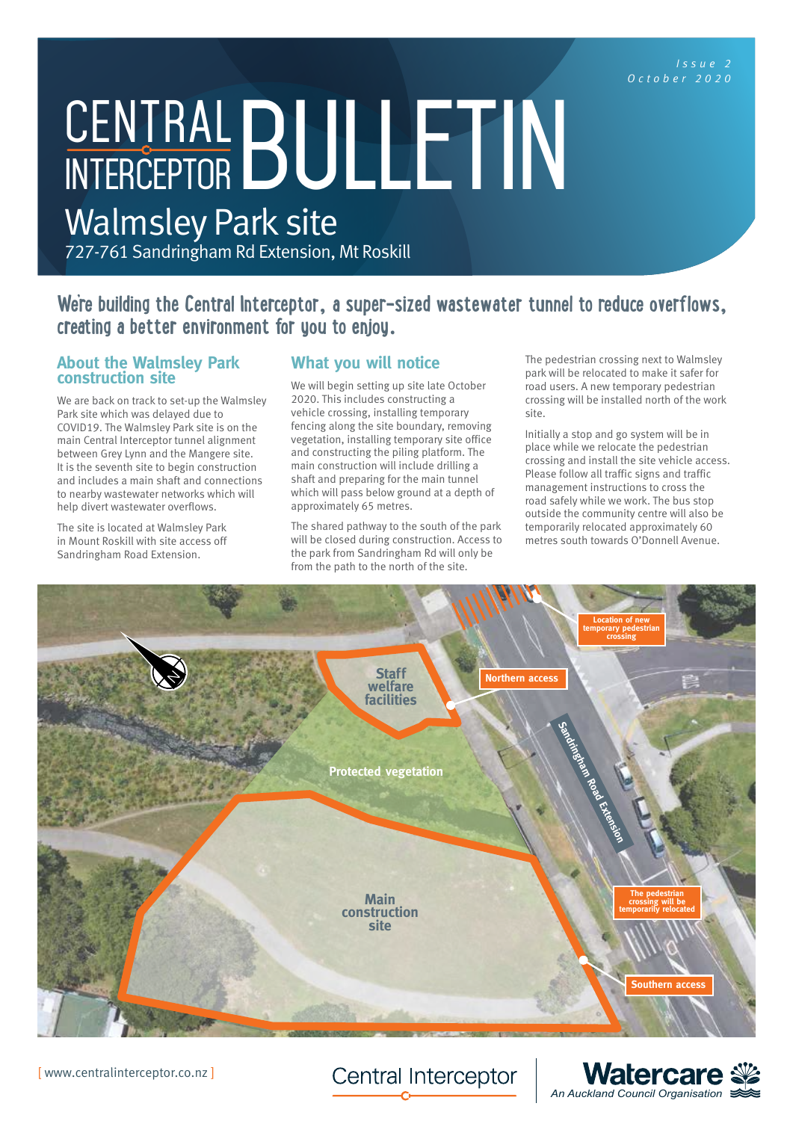*October 2020*

# CENTRAL BULLETIN

Walmsley Park site 727-761 Sandringham Rd Extension, Mt Roskill

We're building the Central Interceptor, a super-sized wastewater tunnel to reduce overflows, **creating a better environment for you to enjoy.**

### **About the Walmsley Park construction site**

We are back on track to set-up the Walmsley Park site which was delayed due to COVID19. The Walmsley Park site is on the main Central Interceptor tunnel alignment between Grey Lynn and the Mangere site. It is the seventh site to begin construction and includes a main shaft and connections to nearby wastewater networks which will help divert wastewater overflows.

The site is located at Walmsley Park in Mount Roskill with site access off Sandringham Road Extension.

# **What you will notice**

We will begin setting up site late October 2020. This includes constructing a vehicle crossing, installing temporary fencing along the site boundary, removing vegetation, installing temporary site office and constructing the piling platform. The main construction will include drilling a shaft and preparing for the main tunnel which will pass below ground at a depth of approximately 65 metres.

The shared pathway to the south of the park will be closed during construction. Access to the park from Sandringham Rd will only be from the path to the north of the site.

The pedestrian crossing next to Walmsley park will be relocated to make it safer for road users. A new temporary pedestrian crossing will be installed north of the work site.

Initially a stop and go system will be in place while we relocate the pedestrian crossing and install the site vehicle access. Please follow all traffic signs and traffic management instructions to cross the road safely while we work. The bus stop outside the community centre will also be temporarily relocated approximately 60 metres south towards O'Donnell Avenue.



**Central Interceptor**